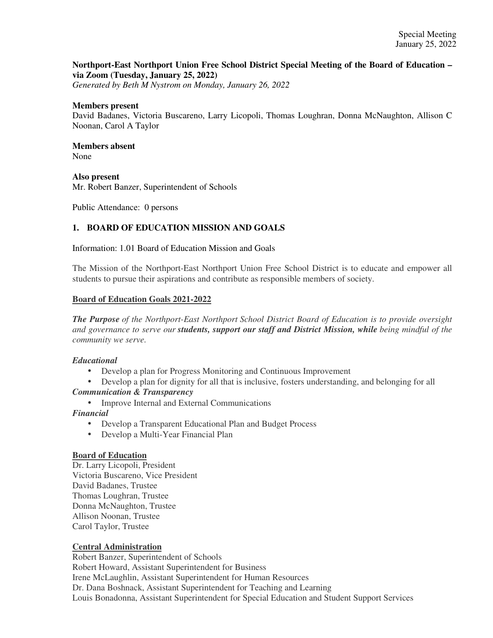## **Northport-East Northport Union Free School District Special Meeting of the Board of Education – via Zoom (Tuesday, January 25, 2022)**

*Generated by Beth M Nystrom on Monday, January 26, 2022*

#### **Members present**

David Badanes, Victoria Buscareno, Larry Licopoli, Thomas Loughran, Donna McNaughton, Allison C Noonan, Carol A Taylor

#### **Members absent**  None

**Also present** 

Mr. Robert Banzer, Superintendent of Schools

Public Attendance: 0 persons

## **1. BOARD OF EDUCATION MISSION AND GOALS**

Information: 1.01 Board of Education Mission and Goals

The Mission of the Northport-East Northport Union Free School District is to educate and empower all students to pursue their aspirations and contribute as responsible members of society.

### **Board of Education Goals 2021-2022**

*The Purpose of the Northport-East Northport School District Board of Education is to provide oversight and governance to serve our students, support our staff and District Mission, while being mindful of the community we serve.*

## *Educational*

- Develop a plan for Progress Monitoring and Continuous Improvement
- Develop a plan for dignity for all that is inclusive, fosters understanding, and belonging for all *Communication & Transparency*
	- Improve Internal and External Communications

#### *Financial*

- Develop a Transparent Educational Plan and Budget Process
- Develop a Multi-Year Financial Plan

#### **Board of Education**

Dr. Larry Licopoli, President Victoria Buscareno, Vice President David Badanes, Trustee Thomas Loughran, Trustee Donna McNaughton, Trustee Allison Noonan, Trustee Carol Taylor, Trustee

## **Central Administration**

Robert Banzer, Superintendent of Schools Robert Howard, Assistant Superintendent for Business Irene McLaughlin, Assistant Superintendent for Human Resources Dr. Dana Boshnack, Assistant Superintendent for Teaching and Learning Louis Bonadonna, Assistant Superintendent for Special Education and Student Support Services